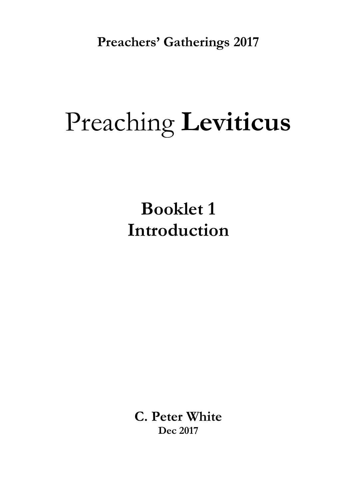**Preachers' Gatherings 2017**

# Preaching **Leviticus**

**Booklet 1 Introduction**

**C. Peter White Dec 2017**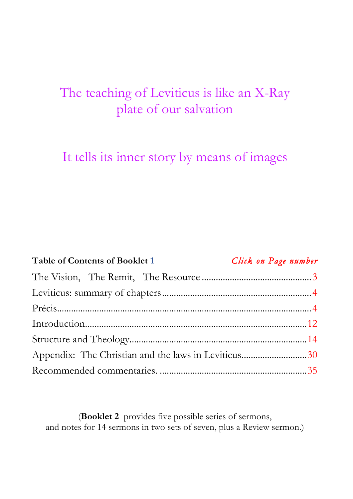## The teaching of Leviticus is like an X-Ray plate of our salvation

It tells its inner story by means of images

| <b>Table of Contents of Booklet 1</b> |  | Click on Page number                                |  |  |
|---------------------------------------|--|-----------------------------------------------------|--|--|
|                                       |  |                                                     |  |  |
|                                       |  |                                                     |  |  |
|                                       |  |                                                     |  |  |
|                                       |  |                                                     |  |  |
|                                       |  |                                                     |  |  |
|                                       |  | Appendix: The Christian and the laws in Leviticus30 |  |  |
|                                       |  |                                                     |  |  |

(**Booklet 2** provides five possible series of sermons, and notes for 14 sermons in two sets of seven, plus a Review sermon.)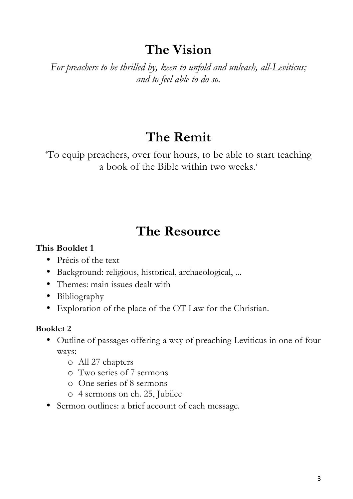## **The Vision**

*For preachers to be thrilled by, keen to unfold and unleash, all-Leviticus; and to feel able to do so.*

## **The Remit**

'To equip preachers, over four hours, to be able to start teaching a book of the Bible within two weeks.'

## **The Resource**

#### **This Booklet 1**

- Précis of the text
- Background: religious, historical, archaeological, ...
- Themes: main issues dealt with
- Bibliography
- Exploration of the place of the OT Law for the Christian.

#### **Booklet 2**

- Outline of passages offering a way of preaching Leviticus in one of four ways:
	- o All 27 chapters
	- o Two series of 7 sermons
	- o One series of 8 sermons
	- o 4 sermons on ch. 25, Jubilee
- Sermon outlines: a brief account of each message.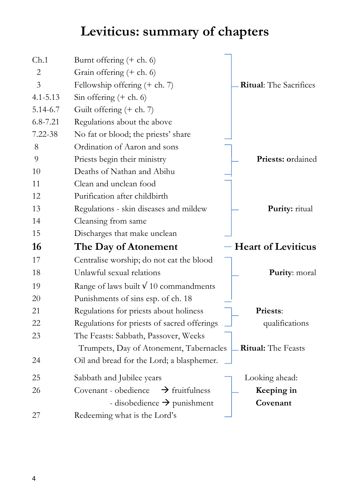## **Leviticus: summary of chapters**

| Ch.1           | Burnt offering $(+ ch. 6)$                         |                               |
|----------------|----------------------------------------------------|-------------------------------|
| 2              | Grain offering $(+$ ch. 6)                         |                               |
| $\overline{3}$ | Fellowship offering $(+ ch. 7)$                    | <b>Ritual:</b> The Sacrifices |
| $4.1 - 5.13$   | Sin offering $(+$ ch. 6)                           |                               |
| 5.14-6.7       | Guilt offering $(+ ch. 7)$                         |                               |
| $6.8 - 7.21$   | Regulations about the above                        |                               |
| 7.22-38        | No fat or blood; the priests' share                |                               |
| 8              | Ordination of Aaron and sons                       |                               |
| 9              | Priests begin their ministry                       | <b>Priests: ordained</b>      |
| 10             | Deaths of Nathan and Abihu                         |                               |
| 11             | Clean and unclean food                             |                               |
| 12             | Purification after childbirth                      |                               |
| 13             | Regulations - skin diseases and mildew             | Purity: ritual                |
| 14             | Cleansing from same                                |                               |
| 15             | Discharges that make unclean                       |                               |
| 16             | The Day of Atonement                               | - Heart of Leviticus          |
| 17             | Centralise worship; do not eat the blood           |                               |
| 18             | Unlawful sexual relations                          | Purity: moral                 |
| 19             | Range of laws built $\sqrt{10}$ commandments       |                               |
| 20             | Punishments of sins esp. of ch. 18                 |                               |
| 21             | Regulations for priests about holiness             | <b>Priests:</b>               |
| 22             | Regulations for priests of sacred offerings        | qualifications                |
| 23             | The Feasts: Sabbath, Passover, Weeks               |                               |
|                | Trumpets, Day of Atonement, Tabernacles            | <b>Ritual:</b> The Feasts     |
| 24             | Oil and bread for the Lord; a blasphemer.          |                               |
| 25             | Sabbath and Jubilee years                          | Looking ahead:                |
| 26             | Covenant - obedience<br>$\rightarrow$ fruitfulness | Keeping in                    |
|                | - disobedience $\rightarrow$ punishment            | Covenant                      |
| 27             | Redeeming what is the Lord's                       |                               |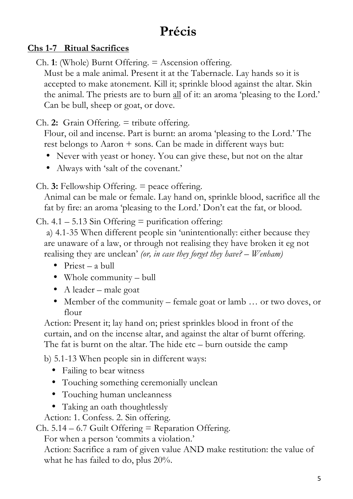## **Précis**

#### **Chs 1-7 Ritual Sacrifices**

Ch. **1**: (Whole) Burnt Offering. = Ascension offering.

Must be a male animal. Present it at the Tabernacle. Lay hands so it is accepted to make atonement. Kill it; sprinkle blood against the altar. Skin the animal. The priests are to burn all of it: an aroma 'pleasing to the Lord.' Can be bull, sheep or goat, or dove.

Ch. **2:** Grain Offering. = tribute offering.

Flour, oil and incense. Part is burnt: an aroma 'pleasing to the Lord.' The rest belongs to Aaron + sons. Can be made in different ways but:

- Never with yeast or honey. You can give these, but not on the altar
- Always with 'salt of the covenant.'

Ch. **3:** Fellowship Offering. = peace offering.

Animal can be male or female. Lay hand on, sprinkle blood, sacrifice all the fat by fire: an aroma 'pleasing to the Lord.' Don't eat the fat, or blood.

Ch.  $4.1 - 5.13$  Sin Offering = purification offering:

a) 4.1-35 When different people sin 'unintentionally: either because they are unaware of a law, or through not realising they have broken it eg not realising they are unclean' *(or, in case they forget they have? – Wenham)*

- Priest a bull
- Whole community bull
- A leader male goat
- Member of the community female goat or lamb ... or two doves, or flour

Action: Present it; lay hand on; priest sprinkles blood in front of the curtain, and on the incense altar, and against the altar of burnt offering. The fat is burnt on the altar. The hide etc – burn outside the camp

b) 5.1-13 When people sin in different ways:

- Failing to bear witness
- Touching something ceremonially unclean
- Touching human uncleanness
- Taking an oath thoughtlessly

Action: 1. Confess. 2. Sin offering.

 $Ch. 5.14 - 6.7$  Guilt Offering = Reparation Offering.

For when a person 'commits a violation.'

Action: Sacrifice a ram of given value AND make restitution: the value of what he has failed to do, plus 20%.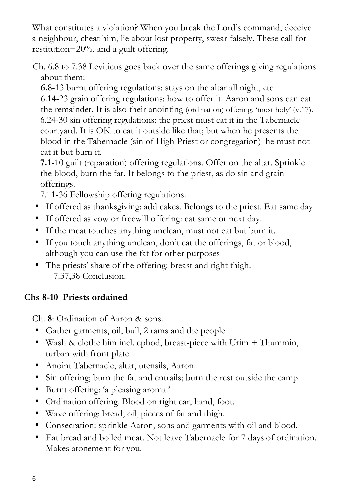What constitutes a violation? When you break the Lord's command, deceive a neighbour, cheat him, lie about lost property, swear falsely. These call for restitution+20%, and a guilt offering.

Ch. 6.8 to 7.38 Leviticus goes back over the same offerings giving regulations about them:

**6.**8-13 burnt offering regulations: stays on the altar all night, etc 6.14-23 grain offering regulations: how to offer it. Aaron and sons can eat the remainder. It is also their anointing (ordination) offering, 'most holy' (v.17). 6.24-30 sin offering regulations: the priest must eat it in the Tabernacle courtyard. It is OK to eat it outside like that; but when he presents the blood in the Tabernacle (sin of High Priest or congregation) he must not eat it but burn it.

**7.**1-10 guilt (reparation) offering regulations. Offer on the altar. Sprinkle the blood, burn the fat. It belongs to the priest, as do sin and grain offerings.

7.11-36 Fellowship offering regulations.

- If offered as thanksgiving: add cakes. Belongs to the priest. Eat same day
- If offered as vow or freewill offering: eat same or next day.
- If the meat touches anything unclean, must not eat but burn it.
- If you touch anything unclean, don't eat the offerings, fat or blood, although you can use the fat for other purposes
- The priests' share of the offering: breast and right thigh. 7.37,38 Conclusion.

#### **Chs 8-10 Priests ordained**

Ch. **8**: Ordination of Aaron & sons.

- Gather garments, oil, bull, 2 rams and the people
- Wash & clothe him incl. ephod, breast-piece with Urim + Thummin, turban with front plate.
- Anoint Tabernacle, altar, utensils, Aaron.
- Sin offering; burn the fat and entrails; burn the rest outside the camp.
- Burnt offering: 'a pleasing aroma.'
- Ordination offering. Blood on right ear, hand, foot.
- Wave offering: bread, oil, pieces of fat and thigh.
- Consecration: sprinkle Aaron, sons and garments with oil and blood.
- Eat bread and boiled meat. Not leave Tabernacle for 7 days of ordination. Makes atonement for you.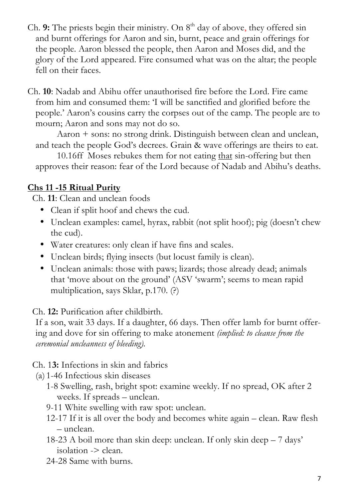- Ch. 9: The priests begin their ministry. On 8<sup>th</sup> day of above, they offered sin and burnt offerings for Aaron and sin, burnt, peace and grain offerings for the people. Aaron blessed the people, then Aaron and Moses did, and the glory of the Lord appeared. Fire consumed what was on the altar; the people fell on their faces.
- Ch. **10**: Nadab and Abihu offer unauthorised fire before the Lord. Fire came from him and consumed them: 'I will be sanctified and glorified before the people.' Aaron's cousins carry the corpses out of the camp. The people are to mourn; Aaron and sons may not do so.

Aaron + sons: no strong drink. Distinguish between clean and unclean, and teach the people God's decrees. Grain & wave offerings are theirs to eat.

10.16ff Moses rebukes them for not eating that sin-offering but then approves their reason: fear of the Lord because of Nadab and Abihu's deaths.

#### **Chs 11 -15 Ritual Purity**

Ch. **11**: Clean and unclean foods

- Clean if split hoof and chews the cud.
- Unclean examples: camel, hyrax, rabbit (not split hoof); pig (doesn't chew the cud).
- Water creatures: only clean if have fins and scales.
- Unclean birds; flying insects (but locust family is clean).
- Unclean animals: those with paws; lizards; those already dead; animals that 'move about on the ground' (ASV 'swarm'; seems to mean rapid multiplication, says Sklar, p.170. (?)

Ch. **12:** Purification after childbirth.

If a son, wait 33 days. If a daughter, 66 days. Then offer lamb for burnt offering and dove for sin offering to make atonement *(implied: to cleanse from the ceremonial uncleanness of bleeding).*

Ch. 1**3:** Infections in skin and fabrics

- (a) 1-46 Infectious skin diseases
	- 1-8 Swelling, rash, bright spot: examine weekly. If no spread, OK after 2 weeks. If spreads – unclean.
	- 9-11 White swelling with raw spot: unclean.
	- 12-17 If it is all over the body and becomes white again clean. Raw flesh – unclean.
	- 18-23 A boil more than skin deep: unclean. If only skin deep 7 days' isolation -> clean.
	- 24-28 Same with burns.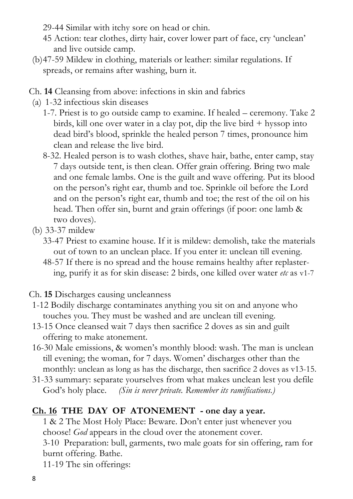- 29-44 Similar with itchy sore on head or chin.
- 45 Action: tear clothes, dirty hair, cover lower part of face, cry 'unclean' and live outside camp.
- (b)47-59 Mildew in clothing, materials or leather: similar regulations. If spreads, or remains after washing, burn it.
- Ch. **14** Cleansing from above: infections in skin and fabrics
- (a) 1-32 infectious skin diseases
	- 1-7. Priest is to go outside camp to examine. If healed ceremony. Take 2 birds, kill one over water in a clay pot, dip the live bird + hyssop into dead bird's blood, sprinkle the healed person 7 times, pronounce him clean and release the live bird.
	- 8-32. Healed person is to wash clothes, shave hair, bathe, enter camp, stay 7 days outside tent, is then clean. Offer grain offering. Bring two male and one female lambs. One is the guilt and wave offering. Put its blood on the person's right ear, thumb and toe. Sprinkle oil before the Lord and on the person's right ear, thumb and toe; the rest of the oil on his head. Then offer sin, burnt and grain offerings (if poor: one lamb & two doves).
- (b) 33-37 mildew
	- 33-47 Priest to examine house. If it is mildew: demolish, take the materials out of town to an unclean place. If you enter it: unclean till evening.
	- 48-57 If there is no spread and the house remains healthy after replastering, purify it as for skin disease: 2 birds, one killed over water *etc* as v1-7

Ch. **15** Discharges causing uncleanness

- 1-12 Bodily discharge contaminates anything you sit on and anyone who touches you. They must be washed and are unclean till evening.
- 13-15 Once cleansed wait 7 days then sacrifice 2 doves as sin and guilt offering to make atonement.
- 16-30 Male emissions, & women's monthly blood: wash. The man is unclean till evening; the woman, for 7 days. Women' discharges other than the monthly: unclean as long as has the discharge, then sacrifice 2 doves as v13-15.
- 31-33 summary: separate yourselves from what makes unclean lest you defile God's holy place. *(Sin is never private. Remember its ramifications.)*

#### **Ch. 16 THE DAY OF ATONEMENT - one day a year.**

1 & 2 The Most Holy Place: Beware. Don't enter just whenever you choose! *God* appears in the cloud over the atonement cover. 3-10 Preparation: bull, garments, two male goats for sin offering, ram for burnt offering. Bathe. 11-19 The sin offerings: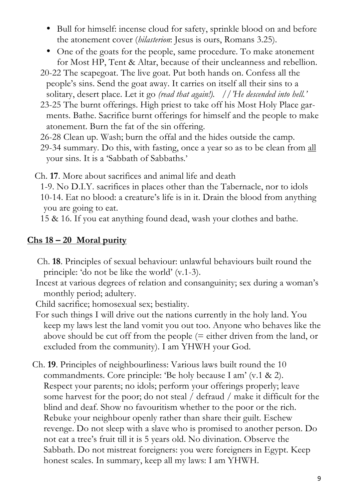- Bull for himself: incense cloud for safety, sprinkle blood on and before the atonement cover (*hilasterion*: Jesus is ours, Romans 3.25).
- One of the goats for the people, same procedure. To make atonement for Most HP, Tent & Altar, because of their uncleanness and rebellion.
- 20-22 The scapegoat. The live goat. Put both hands on. Confess all the people's sins. Send the goat away. It carries on itself all their sins to a solitary, desert place. Let it go *(read that again!). //'He descended into hell.'*
- 23-25 The burnt offerings. High priest to take off his Most Holy Place garments. Bathe. Sacrifice burnt offerings for himself and the people to make atonement. Burn the fat of the sin offering.
- 26-28 Clean up. Wash; burn the offal and the hides outside the camp.
- 29-34 summary. Do this, with fasting, once a year so as to be clean from all your sins. It is a 'Sabbath of Sabbaths.'

Ch. **17**. More about sacrifices and animal life and death

 1-9. No D.I.Y. sacrifices in places other than the Tabernacle, nor to idols 10-14. Eat no blood: a creature's life is in it. Drain the blood from anything you are going to eat.

15 & 16. If you eat anything found dead, wash your clothes and bathe.

#### **Chs 18 – 20 Moral purity**

- Ch. **18**. Principles of sexual behaviour: unlawful behaviours built round the principle: 'do not be like the world' (v.1-3).
- Incest at various degrees of relation and consanguinity; sex during a woman's monthly period; adultery.

Child sacrifice; homosexual sex; bestiality.

- For such things I will drive out the nations currently in the holy land. You keep my laws lest the land vomit you out too. Anyone who behaves like the above should be cut off from the people (= either driven from the land, or excluded from the community). I am YHWH your God.
- Ch. **19**. Principles of neighbourliness: Various laws built round the 10 commandments. Core principle: 'Be holy because I am' (v.1 & 2). Respect your parents; no idols; perform your offerings properly; leave some harvest for the poor; do not steal / defraud / make it difficult for the blind and deaf. Show no favouritism whether to the poor or the rich. Rebuke your neighbour openly rather than share their guilt. Eschew revenge. Do not sleep with a slave who is promised to another person. Do not eat a tree's fruit till it is 5 years old. No divination. Observe the Sabbath. Do not mistreat foreigners: you were foreigners in Egypt. Keep honest scales. In summary, keep all my laws: I am YHWH.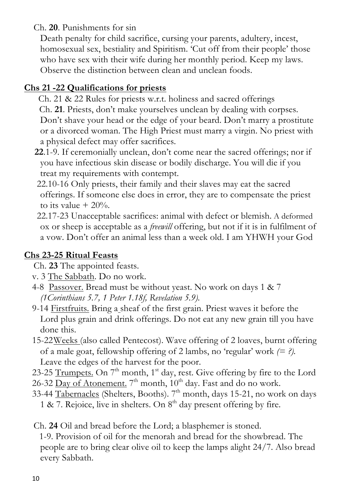Ch. **20**. Punishments for sin

Death penalty for child sacrifice, cursing your parents, adultery, incest, homosexual sex, bestiality and Spiritism. 'Cut off from their people' those who have sex with their wife during her monthly period. Keep my laws. Observe the distinction between clean and unclean foods.

#### **Chs 21 -22 Qualifications for priests**

- Ch. 21 & 22 Rules for priests w.r.t. holiness and sacred offerings Ch. **21**. Priests, don't make yourselves unclean by dealing with corpses. Don't shave your head or the edge of your beard. Don't marry a prostitute or a divorced woman. The High Priest must marry a virgin. No priest with a physical defect may offer sacrifices.
- **22**.1-9. If ceremonially unclean, don't come near the sacred offerings; nor if you have infectious skin disease or bodily discharge. You will die if you treat my requirements with contempt.
- 22.10-16 Only priests, their family and their slaves may eat the sacred offerings. If someone else does in error, they are to compensate the priest to its value  $+ 20\%$ .
- 22.17-23 Unacceptable sacrifices: animal with defect or blemish. A deformed ox or sheep is acceptable as a *freewill* offering, but not if it is in fulfilment of a vow. Don't offer an animal less than a week old. I am YHWH your God

#### **Chs 23-25 Ritual Feasts**

Ch. **23** The appointed feasts.

- v. 3 The Sabbath. Do no work.
- 4-8 Passover. Bread must be without yeast. No work on days 1 & 7 *(1Corinthians 5.7, 1 Peter 1.18f, Revelation 5.9).*
- 9-14 Firstfruits. Bring a sheaf of the first grain. Priest waves it before the Lord plus grain and drink offerings. Do not eat any new grain till you have done this.
- 15-22Weeks (also called Pentecost). Wave offering of 2 loaves, burnt offering of a male goat, fellowship offering of 2 lambs, no 'regular' work *(= ?).* Leave the edges of the harvest for the poor.
- 23-25 Trumpets. On  $7<sup>th</sup>$  month, 1<sup>st</sup> day, rest. Give offering by fire to the Lord 26-32 Day of Atonement.  $7<sup>th</sup>$  month,  $10<sup>th</sup>$  day. Fast and do no work.
- 33-44 Tabernacles (Shelters, Booths).  $7<sup>th</sup>$  month, days 15-21, no work on days 1 & 7. Rejoice, live in shelters. On  $8<sup>th</sup>$  day present offering by fire.
- Ch. **24** Oil and bread before the Lord; a blasphemer is stoned.

 1-9. Provision of oil for the menorah and bread for the showbread. The people are to bring clear olive oil to keep the lamps alight 24/7. Also bread every Sabbath.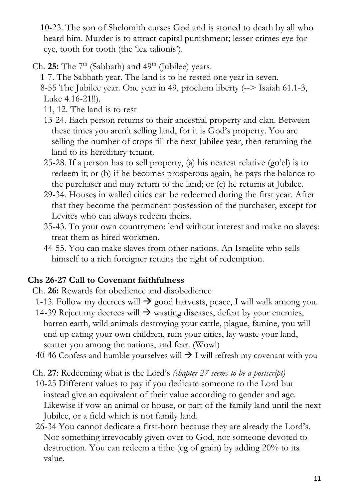10-23. The son of Shelomith curses God and is stoned to death by all who heard him. Murder is to attract capital punishment; lesser crimes eye for eye, tooth for tooth (the 'lex talionis').

Ch. **25:** The  $7<sup>th</sup>$  (Sabbath) and  $49<sup>th</sup>$  (Jubilee) years.

- 1-7. The Sabbath year. The land is to be rested one year in seven. 8-55 The Jubilee year. One year in 49, proclaim liberty (--> Isaiah 61.1-3, Luke 4.16-21!!).
- 11, 12. The land is to rest
- 13-24. Each person returns to their ancestral property and clan. Between these times you aren't selling land, for it is God's property. You are selling the number of crops till the next Jubilee year, then returning the land to its hereditary tenant.
- 25-28. If a person has to sell property, (a) his nearest relative (go'el) is to redeem it; or (b) if he becomes prosperous again, he pays the balance to the purchaser and may return to the land; or (c) he returns at Jubilee.
- 29-34. Houses in walled cities can be redeemed during the first year. After that they become the permanent possession of the purchaser, except for Levites who can always redeem theirs.
- 35-43. To your own countrymen: lend without interest and make no slaves: treat them as hired workmen.
- 44-55. You can make slaves from other nations. An Israelite who sells himself to a rich foreigner retains the right of redemption.

#### **Chs 26-27 Call to Covenant faithfulness**

- Ch. **26:** Rewards for obedience and disobedience
- 1-13. Follow my decrees will  $\rightarrow$  good harvests, peace, I will walk among you.
- 14-39 Reject my decrees will  $\rightarrow$  wasting diseases, defeat by your enemies, barren earth, wild animals destroying your cattle, plague, famine, you will end up eating your own children, ruin your cities, lay waste your land, scatter you among the nations, and fear. (Wow!)
- 40-46 Confess and humble yourselves will  $\rightarrow$  I will refresh my covenant with you
- Ch. **27**: Redeeming what is the Lord's *(chapter 27 seems to be a postscript)*
- 10-25 Different values to pay if you dedicate someone to the Lord but instead give an equivalent of their value according to gender and age. Likewise if vow an animal or house, or part of the family land until the next Jubilee, or a field which is not family land.
- 26-34 You cannot dedicate a first-born because they are already the Lord's. Nor something irrevocably given over to God, nor someone devoted to destruction. You can redeem a tithe (eg of grain) by adding 20% to its value.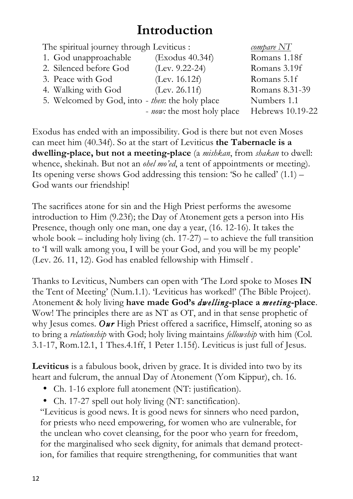## **Introduction**

| The spiritual journey through Leviticus :       |                                    | $\omega$ mpare $NT$ |
|-------------------------------------------------|------------------------------------|---------------------|
| 1. God unapproachable                           | (Exodus 40.34f)                    | Romans 1.18f        |
| 2. Silenced before God                          | $(Lev. 9.22-24)$                   | Romans 3.19f        |
| 3. Peace with God                               | (Lev. 16.12f)                      | Romans 5.1f         |
| 4. Walking with God                             | (Lev. 26.11f)                      | Romans 8.31-39      |
| 5. Welcomed by God, into - then: the holy place |                                    | Numbers 1.1         |
|                                                 | - <i>now</i> : the most holy place | Hebrews 10.19-22    |

Exodus has ended with an impossibility. God is there but not even Moses can meet him (40.34f). So at the start of Leviticus **the Tabernacle is a dwelling-place, but not a meeting-place** (a *mishkan*, from *shakan* to dwell: whence, shekinah. But not an *ohel mo'ed*, a tent of appointments or meeting). Its opening verse shows God addressing this tension: 'So he called' (1.1) – God wants our friendship!

The sacrifices atone for sin and the High Priest performs the awesome introduction to Him (9.23f); the Day of Atonement gets a person into His Presence, though only one man, one day a year, (16. 12-16). It takes the whole book – including holy living (ch.  $17-27$ ) – to achieve the full transition to 'I will walk among you, I will be your God, and you will be my people' (Lev. 26. 11, 12). God has enabled fellowship with Himself .

Thanks to Leviticus, Numbers can open with 'The Lord spoke to Moses **IN** the Tent of Meeting' (Num.1.1). 'Leviticus has worked!' (The Bible Project). Atonement & holy living **have made God's** *dwelling***-place a** *meeting***-place**. Wow! The principles there are as NT as OT, and in that sense prophetic of why Jesus comes. *Our* High Priest offered a sacrifice, Himself, atoning so as to bring a *relationship* with God; holy living maintains *fellowship* with him (Col. 3.1-17, Rom.12.1, 1 Thes.4.1ff, 1 Peter 1.15f). Leviticus is just full of Jesus.

**Leviticus** is a fabulous book, driven by grace. It is divided into two by its heart and fulcrum, the annual Day of Atonement (Yom Kippur), ch. 16.

- Ch. 1-16 explore full atonement (NT: justification).
- Ch. 17-27 spell out holy living (NT: sanctification).

"Leviticus is good news. It is good news for sinners who need pardon, for priests who need empowering, for women who are vulnerable, for the unclean who covet cleansing, for the poor who yearn for freedom, for the marginalised who seek dignity, for animals that demand protection, for families that require strengthening, for communities that want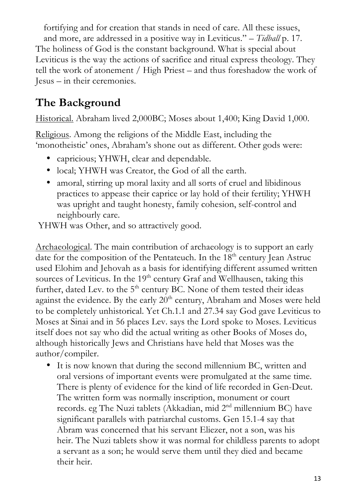fortifying and for creation that stands in need of care. All these issues, and more, are addressed in a positive way in Leviticus." – *Tidball* p. 17. The holiness of God is the constant background. What is special about Leviticus is the way the actions of sacrifice and ritual express theology. They tell the work of atonement / High Priest – and thus foreshadow the work of Jesus – in their ceremonies.

## **The Background**

Historical. Abraham lived 2,000BC; Moses about 1,400; King David 1,000.

Religious. Among the religions of the Middle East, including the 'monotheistic' ones, Abraham's shone out as different. Other gods were:

- capricious; YHWH, clear and dependable.
- local; YHWH was Creator, the God of all the earth.
- amoral, stirring up moral laxity and all sorts of cruel and libidinous practices to appease their caprice or lay hold of their fertility; YHWH was upright and taught honesty, family cohesion, self-control and neighbourly care.

YHWH was Other, and so attractively good.

Archaeological. The main contribution of archaeology is to support an early date for the composition of the Pentateuch. In the  $18<sup>th</sup>$  century Jean Astruc used Elohim and Jehovah as a basis for identifying different assumed written sources of Leviticus. In the 19<sup>th</sup> century Graf and Wellhausen, taking this further, dated Lev. to the  $5<sup>th</sup>$  century BC. None of them tested their ideas against the evidence. By the early  $20<sup>th</sup>$  century, Abraham and Moses were held to be completely unhistorical. Yet Ch.1.1 and 27.34 say God gave Leviticus to Moses at Sinai and in 56 places Lev. says the Lord spoke to Moses. Leviticus itself does not say who did the actual writing as other Books of Moses do, although historically Jews and Christians have held that Moses was the author/compiler.

• It is now known that during the second millennium BC, written and oral versions of important events were promulgated at the same time. There is plenty of evidence for the kind of life recorded in Gen-Deut. The written form was normally inscription, monument or court records. eg The Nuzi tablets (Akkadian, mid 2<sup>nd</sup> millennium BC) have significant parallels with patriarchal customs. Gen 15.1-4 say that Abram was concerned that his servant Eliezer, not a son, was his heir. The Nuzi tablets show it was normal for childless parents to adopt a servant as a son; he would serve them until they died and became their heir.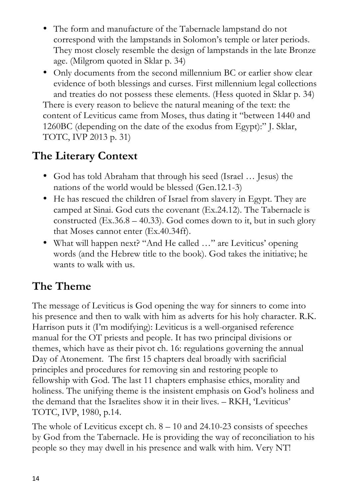- The form and manufacture of the Tabernacle lampstand do not correspond with the lampstands in Solomon's temple or later periods. They most closely resemble the design of lampstands in the late Bronze age. (Milgrom quoted in Sklar p. 34)
- Only documents from the second millennium BC or earlier show clear evidence of both blessings and curses. First millennium legal collections and treaties do not possess these elements. (Hess quoted in Sklar p. 34) There is every reason to believe the natural meaning of the text: the content of Leviticus came from Moses, thus dating it "between 1440 and 1260BC (depending on the date of the exodus from Egypt):" J. Sklar, TOTC, IVP 2013 p. 31)

## **The Literary Context**

- God has told Abraham that through his seed (Israel ... Jesus) the nations of the world would be blessed (Gen.12.1-3)
- He has rescued the children of Israel from slavery in Egypt. They are camped at Sinai. God cuts the covenant (Ex.24.12). The Tabernacle is constructed  $(Ex.36.8 - 40.33)$ . God comes down to it, but in such glory that Moses cannot enter (Ex.40.34ff).
- What will happen next? "And He called ..." are Leviticus' opening words (and the Hebrew title to the book). God takes the initiative; he wants to walk with us.

## **The Theme**

The message of Leviticus is God opening the way for sinners to come into his presence and then to walk with him as adverts for his holy character. R.K. Harrison puts it (I'm modifying): Leviticus is a well-organised reference manual for the OT priests and people. It has two principal divisions or themes, which have as their pivot ch. 16: regulations governing the annual Day of Atonement. The first 15 chapters deal broadly with sacrificial principles and procedures for removing sin and restoring people to fellowship with God. The last 11 chapters emphasise ethics, morality and holiness. The unifying theme is the insistent emphasis on God's holiness and the demand that the Israelites show it in their lives. – RKH, 'Leviticus' TOTC, IVP, 1980, p.14.

The whole of Leviticus except ch.  $8 - 10$  and 24.10-23 consists of speeches by God from the Tabernacle. He is providing the way of reconciliation to his people so they may dwell in his presence and walk with him. Very NT!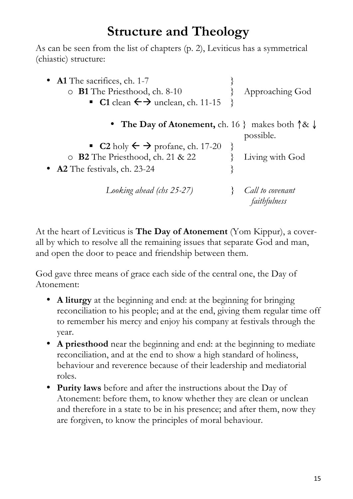## **Structure and Theology**

As can be seen from the list of chapters (p. 2), Leviticus has a symmetrical (chiastic) structure:

| • Al The sacrifices, ch. 1-7<br>$\circ$ <b>B1</b> The Priesthood, ch. 8-10<br>• C1 clean $\leftrightarrow$ unclean, ch. 11-15 | Approaching God                  |
|-------------------------------------------------------------------------------------------------------------------------------|----------------------------------|
| • The Day of Atonement, ch. 16 } makes both $\uparrow \& \downarrow$                                                          | possible.                        |
| ■ C2 holy $\leftarrow$ $\rightarrow$ profane, ch. 17-20                                                                       |                                  |
| o B2 The Priesthood, ch. 21 & 22                                                                                              | Living with God                  |
| • A2 The festivals, ch. 23-24                                                                                                 |                                  |
| Looking ahead (chs 25-27)                                                                                                     | Call to covenant<br>faithfulness |

At the heart of Leviticus is **The Day of Atonement** (Yom Kippur), a coverall by which to resolve all the remaining issues that separate God and man, and open the door to peace and friendship between them.

God gave three means of grace each side of the central one, the Day of Atonement:

- **A liturgy** at the beginning and end: at the beginning for bringing reconciliation to his people; and at the end, giving them regular time off to remember his mercy and enjoy his company at festivals through the year.
- **A priesthood** near the beginning and end: at the beginning to mediate reconciliation, and at the end to show a high standard of holiness, behaviour and reverence because of their leadership and mediatorial roles.
- **Purity laws** before and after the instructions about the Day of Atonement: before them, to know whether they are clean or unclean and therefore in a state to be in his presence; and after them, now they are forgiven, to know the principles of moral behaviour.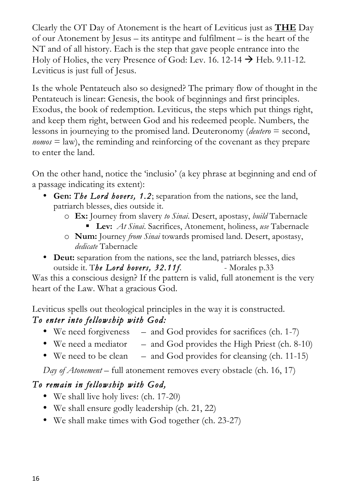Clearly the OT Day of Atonement is the heart of Leviticus just as **THE** Day of our Atonement by Jesus – its antitype and fulfilment – is the heart of the NT and of all history. Each is the step that gave people entrance into the Holy of Holies, the very Presence of God: Lev. 16. 12-14  $\rightarrow$  Heb. 9.11-12. Leviticus is just full of Jesus.

Is the whole Pentateuch also so designed? The primary flow of thought in the Pentateuch is linear: Genesis, the book of beginnings and first principles. Exodus, the book of redemption. Leviticus, the steps which put things right, and keep them right, between God and his redeemed people. Numbers, the lessons in journeying to the promised land. Deuteronomy (*deutero* = second, *nomos* = law), the reminding and reinforcing of the covenant as they prepare to enter the land.

On the other hand, notice the 'inclusio' (a key phrase at beginning and end of a passage indicating its extent):

- **Gen:** *The Lord hovers, 1.2*; separation from the nations, see the land, patriarch blesses, dies outside it.
	- o **Ex:** Journey from slavery *to Sinai*. Desert, apostasy, *build* Tabernacle
		- Lev: *At Sinai*. Sacrifices, Atonement, holiness, *use* Tabernacle
	- o **Num:** Journey *from Sinai* towards promised land. Desert, apostasy, *dedicate* Tabernacle
- **Deut:** separation from the nations, see the land, patriarch blesses, dies outside it. The Lord hovers, 32.11f. - Morales p.33

Was this a conscious design? If the pattern is valid, full atonement is the very heart of the Law. What a gracious God.

Leviticus spells out theological principles in the way it is constructed. *To enter into fellowship with God:* 

- We need forgiveness and God provides for sacrifices (ch. 1-7)
- We need a mediator and God provides the High Priest (ch. 8-10)
- We need to be clean and God provides for cleansing  $(ch. 11-15)$

*Day of Atonement* – full atonement removes every obstacle (ch. 16, 17)

#### *To remain in fellowship with God,*

- We shall live holy lives: (ch. 17-20)
- We shall ensure godly leadership (ch. 21, 22)
- We shall make times with God together (ch. 23-27)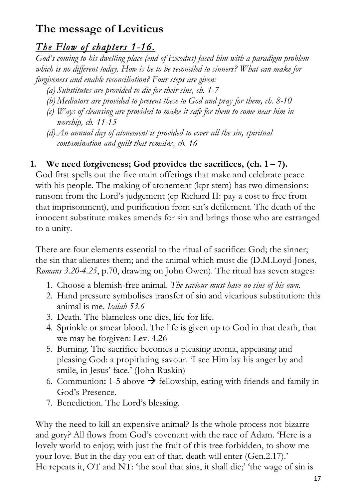### **The message of Leviticus**

#### *The Flow of chapters 1-16.*

*God's coming to his dwelling place (end of Exodus) faced him with a paradigm problem which is no different today. How is he to be reconciled to sinners? What can make for forgiveness and enable reconciliation? Four steps are given:*

- *(a) Substitutes are provided to die for their sins, ch. 1-7*
- *(b) Mediators are provided to present these to God and pray for them, ch. 8-10*
- *(c) Ways of cleansing are provided to make it safe for them to come near him in worship, ch. 11-15*
- *(d) An annual day of atonement is provided to cover all the sin, spiritual contamination and guilt that remains, ch. 16*

#### **1. We need forgiveness; God provides the sacrifices, (ch. 1 – 7).**

God first spells out the five main offerings that make and celebrate peace with his people. The making of atonement (kpr stem) has two dimensions: ransom from the Lord's judgement (cp Richard II: pay a cost to free from that imprisonment), and purification from sin's defilement. The death of the innocent substitute makes amends for sin and brings those who are estranged to a unity.

There are four elements essential to the ritual of sacrifice: God; the sinner; the sin that alienates them; and the animal which must die (D.M.Loyd-Jones, *Romans 3.20-4.25*, p.70, drawing on John Owen). The ritual has seven stages:

- 1. Choose a blemish-free animal. *The saviour must have no sins of his own.*
- 2. Hand pressure symbolises transfer of sin and vicarious substitution: this animal is me. *Isaiah 53.6*
- 3. Death. The blameless one dies, life for life.
- 4. Sprinkle or smear blood. The life is given up to God in that death, that we may be forgiven: Lev. 4.26
- 5. Burning. The sacrifice becomes a pleasing aroma, appeasing and pleasing God: a propitiating savour. 'I see Him lay his anger by and smile, in Jesus' face.' (John Ruskin)
- 6. Communion: 1-5 above  $\rightarrow$  fellowship, eating with friends and family in God's Presence.
- 7. Benediction. The Lord's blessing.

Why the need to kill an expensive animal? Is the whole process not bizarre and gory? All flows from God's covenant with the race of Adam. 'Here is a lovely world to enjoy; with just the fruit of this tree forbidden, to show me your love. But in the day you eat of that, death will enter (Gen.2.17).' He repeats it, OT and NT: 'the soul that sins, it shall die;' 'the wage of sin is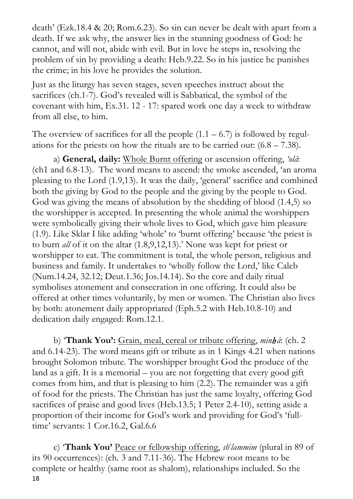death' (Ezk.18.4 & 20; Rom.6.23). So sin can never be dealt with apart from a death. If we ask why, the answer lies in the stunning goodness of God: he cannot, and will not, abide with evil. But in love he steps in, resolving the problem of sin by providing a death: Heb.9.22. So in his justice he punishes the crime; in his love he provides the solution.

Just as the liturgy has seven stages, seven speeches instruct about the sacrifices (ch.1-7). God's revealed will is Sabbatical, the symbol of the covenant with him, Ex.31. 12 - 17: spared work one day a week to withdraw from all else, to him.

The overview of sacrifices for all the people  $(1.1 - 6.7)$  is followed by regulations for the priests on how the rituals are to be carried out:  $(6.8 - 7.38)$ .

a) **General, daily:** Whole Burnt offering or ascension offering, *'olâ*: (ch1 and 6.8-13). The word means to ascend: the smoke ascended, 'an aroma pleasing to the Lord (1.9,13). It was the daily, 'general' sacrifice and combined both the giving by God to the people and the giving by the people to God. God was giving the means of absolution by the shedding of blood (1.4,5) so the worshipper is accepted. In presenting the whole animal the worshippers were symbolically giving their whole lives to God, which gave him pleasure (1.9). Like Sklar I like adding 'whole' to 'burnt offering' because 'the priest is to burn *all* of it on the altar (1.8,9,12,13).' None was kept for priest or worshipper to eat. The commitment is total, the whole person, religious and business and family. It undertakes to 'wholly follow the Lord,' like Caleb (Num.14.24, 32.12; Deut.1.36; Jos.14.14). So the core and daily ritual symbolises atonement and consecration in one offering. It could also be offered at other times voluntarily, by men or women. The Christian also lives by both: atonement daily appropriated (Eph.5.2 with Heb.10.8-10) and dedication daily engaged: Rom.12.1.

b) '**Thank You':** Grain, meal, cereal or tribute offering, *minhâ*: (ch. 2 and 6.14-23). The word means gift or tribute as in 1 Kings 4.21 when nations brought Solomon tribute. The worshipper brought God the produce of the land as a gift. It is a memorial – you are not forgetting that every good gift comes from him, and that is pleasing to him (2.2). The remainder was a gift of food for the priests. The Christian has just the same loyalty, offering God sacrifices of praise and good lives (Heb.13.5; 1 Peter 2.4-10), setting aside a proportion of their income for God's work and providing for God's 'fulltime' servants: 1 Cor.16.2, Gal.6.6

18 c) '**Thank You'** Peace or fellowship offering, *she lammim* (plural in 89 of its 90 occurrences): (ch. 3 and 7.11-36). The Hebrew root means to be complete or healthy (same root as shalom), relationships included. So the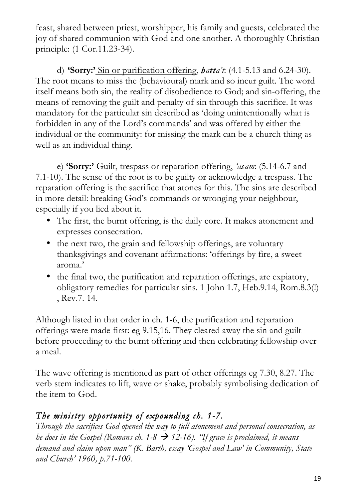feast, shared between priest, worshipper, his family and guests, celebrated the joy of shared communion with God and one another. A thoroughly Christian principle: (1 Cor.11.23-34).

d) **'Sorry:'** Sin or purification offering, *hatta't*: (4.1-5.13 and 6.24-30). The root means to miss the (behavioural) mark and so incur guilt. The word itself means both sin, the reality of disobedience to God; and sin-offering, the means of removing the guilt and penalty of sin through this sacrifice. It was mandatory for the particular sin described as 'doing unintentionally what is forbidden in any of the Lord's commands' and was offered by either the individual or the community: for missing the mark can be a church thing as well as an individual thing.

e) **'Sorry:'** Guilt, trespass or reparation offering, *'asam*: (5.14-6.7 and 7.1-10). The sense of the root is to be guilty or acknowledge a trespass. The reparation offering is the sacrifice that atones for this. The sins are described in more detail: breaking God's commands or wronging your neighbour, especially if you lied about it.

- The first, the burnt offering, is the daily core. It makes atonement and expresses consecration.
- the next two, the grain and fellowship offerings, are voluntary thanksgivings and covenant affirmations: 'offerings by fire, a sweet aroma.'
- the final two, the purification and reparation offerings, are expiatory, obligatory remedies for particular sins. 1 John 1.7, Heb.9.14, Rom.8.3(!) , Rev.7. 14.

Although listed in that order in ch. 1-6, the purification and reparation offerings were made first: eg 9.15,16. They cleared away the sin and guilt before proceeding to the burnt offering and then celebrating fellowship over a meal.

The wave offering is mentioned as part of other offerings eg 7.30, 8.27. The verb stem indicates to lift, wave or shake, probably symbolising dedication of the item to God.

#### *The ministry opportunity of expounding ch. 1-7.*

*Through the sacrifices God opened the way to full atonement and personal consecration, as he does in the Gospel (Romans ch.*  $1-8 \rightarrow 12-16$ ). *"If grace is proclaimed, it means demand and claim upon man" (K. Barth, essay 'Gospel and Law' in Community, State and Church' 1960, p.71-100.*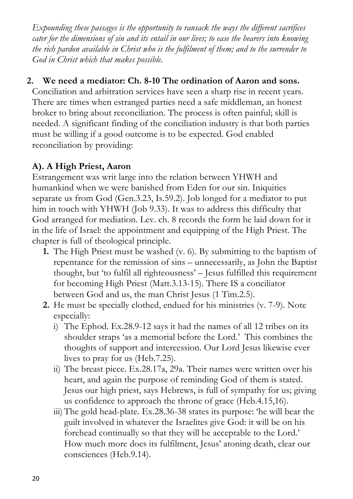*Expounding these passages is the opportunity to ransack the ways the different sacrifices cater for the dimensions of sin and its entail in our lives; to ease the hearers into knowing the rich pardon available in Christ who is the fulfilment of them; and to the surrender to God in Christ which that makes possible.*

#### **2. We need a mediator: Ch. 8-10 The ordination of Aaron and sons.**

Conciliation and arbitration services have seen a sharp rise in recent years. There are times when estranged parties need a safe middleman, an honest broker to bring about reconciliation. The process is often painful; skill is needed. A significant finding of the conciliation industry is that both parties must be willing if a good outcome is to be expected. God enabled reconciliation by providing:

#### **A). A High Priest, Aaron**

Estrangement was writ large into the relation between YHWH and humankind when we were banished from Eden for our sin. Iniquities separate us from God (Gen.3.23, Is.59.2). Job longed for a mediator to put him in touch with YHWH (Job 9.33). It was to address this difficulty that God arranged for mediation. Lev. ch. 8 records the form he laid down for it in the life of Israel: the appointment and equipping of the High Priest. The chapter is full of theological principle.

- **1.** The High Priest must be washed (v. 6). By submitting to the baptism of repentance for the remission of sins – unnecessarily, as John the Baptist thought, but 'to fulfil all righteousness' – Jesus fulfilled this requirement for becoming High Priest (Matt.3.13-15). There IS a conciliator between God and us, the man Christ Jesus (1 Tim.2.5).
- **2.** He must be specially clothed, endued for his ministries (v. 7-9). Note especially:
	- i) The Ephod. Ex.28.9-12 says it had the names of all 12 tribes on its shoulder straps 'as a memorial before the Lord.' This combines the thoughts of support and intercession. Our Lord Jesus likewise ever lives to pray for us (Heb.7.25).
	- ii) The breast piece. Ex.28.17a, 29a. Their names were written over his heart, and again the purpose of reminding God of them is stated. Jesus our high priest, says Hebrews, is full of sympathy for us; giving us confidence to approach the throne of grace (Heb.4.15,16).
	- iii)The gold head-plate. Ex.28.36-38 states its purpose: 'he will bear the guilt involved in whatever the Israelites give God: it will be on his forehead continually so that they will be acceptable to the Lord.' How much more does its fulfilment, Jesus' atoning death, clear our consciences (Heb.9.14).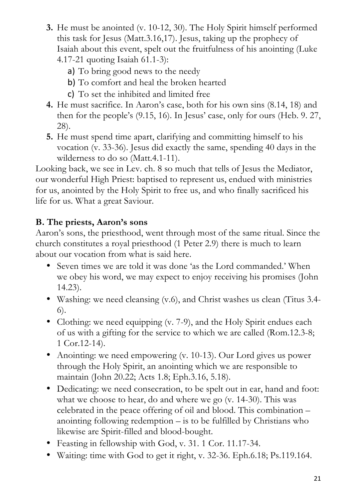- **3.** He must be anointed (v. 10-12, 30). The Holy Spirit himself performed this task for Jesus (Matt.3.16,17). Jesus, taking up the prophecy of Isaiah about this event, spelt out the fruitfulness of his anointing (Luke 4.17-21 quoting Isaiah 61.1-3):
	- a) To bring good news to the needy
	- b) To comfort and heal the broken hearted
	- c) To set the inhibited and limited free
- **4.** He must sacrifice. In Aaron's case, both for his own sins (8.14, 18) and then for the people's (9.15, 16). In Jesus' case, only for ours (Heb. 9. 27, 28).
- **5.** He must spend time apart, clarifying and committing himself to his vocation (v. 33-36). Jesus did exactly the same, spending 40 days in the wilderness to do so (Matt.4.1-11).

Looking back, we see in Lev. ch. 8 so much that tells of Jesus the Mediator, our wonderful High Priest: baptised to represent us, endued with ministries for us, anointed by the Holy Spirit to free us, and who finally sacrificed his life for us. What a great Saviour.

#### **B. The priests, Aaron's sons**

Aaron's sons, the priesthood, went through most of the same ritual. Since the church constitutes a royal priesthood (1 Peter 2.9) there is much to learn about our vocation from what is said here.

- Seven times we are told it was done 'as the Lord commanded.' When we obey his word, we may expect to enjoy receiving his promises (John 14.23).
- Washing: we need cleansing (v.6), and Christ washes us clean (Titus 3.4- 6).
- Clothing: we need equipping (v. 7-9), and the Holy Spirit endues each of us with a gifting for the service to which we are called (Rom.12.3-8; 1 Cor.12-14).
- Anointing: we need empowering (v. 10-13). Our Lord gives us power through the Holy Spirit, an anointing which we are responsible to maintain (John 20.22; Acts 1.8; Eph.3.16, 5.18).
- Dedicating: we need consecration, to be spelt out in ear, hand and foot: what we choose to hear, do and where we go (v. 14-30). This was celebrated in the peace offering of oil and blood. This combination – anointing following redemption – is to be fulfilled by Christians who likewise are Spirit-filled and blood-bought.
- Feasting in fellowship with God, v. 31. 1 Cor. 11.17-34.
- Waiting: time with God to get it right, v. 32-36. Eph.6.18; Ps.119.164.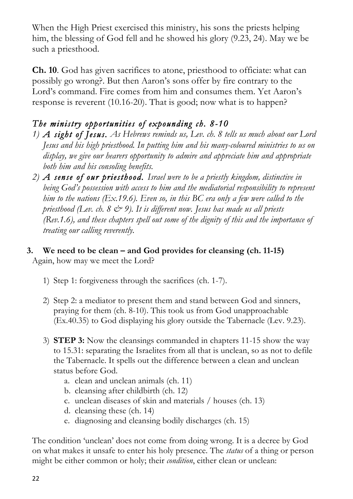When the High Priest exercised this ministry, his sons the priests helping him, the blessing of God fell and he showed his glory (9.23, 24). May we be such a priesthood.

**Ch. 10**. God has given sacrifices to atone, priesthood to officiate: what can possibly go wrong?. But then Aaron's sons offer by fire contrary to the Lord's command. Fire comes from him and consumes them. Yet Aaron's response is reverent (10.16-20). That is good; now what is to happen?

#### *The ministry opportunities of expounding ch. 8-10*

- *1) A sight of Jesus. As Hebrews reminds us, Lev. ch. 8 tells us much about our Lord Jesus and his high priesthood. In putting him and his many-coloured ministries to us on display, we give our hearers opportunity to admire and appreciate him and appropriate both him and his consoling benefits.*
- *2) A sense of our priesthood. Israel were to be a priestly kingdom, distinctive in being God's possession with access to him and the mediatorial responsibility to represent him to the nations (Ex.19.6). Even so, in this BC era only a few were called to the priesthood (Lev. ch. 8*  $\mathcal{Q}$  *9). It is different now. Jesus has made us all priests (Rev.1.6), and these chapters spell out some of the dignity of this and the importance of treating our calling reverently.*

#### **3. We need to be clean – and God provides for cleansing (ch. 11-15)** Again, how may we meet the Lord?

- 1) Step 1: forgiveness through the sacrifices (ch. 1-7).
- 2) Step 2: a mediator to present them and stand between God and sinners, praying for them (ch. 8-10). This took us from God unapproachable (Ex.40.35) to God displaying his glory outside the Tabernacle (Lev. 9.23).
- 3) **STEP 3:** Now the cleansings commanded in chapters 11-15 show the way to 15.31: separating the Israelites from all that is unclean, so as not to defile the Tabernacle. It spells out the difference between a clean and unclean status before God.
	- a. clean and unclean animals (ch. 11)
	- b. cleansing after childbirth (ch. 12)
	- c. unclean diseases of skin and materials / houses (ch. 13)
	- d. cleansing these (ch. 14)
	- e. diagnosing and cleansing bodily discharges (ch. 15)

The condition 'unclean' does not come from doing wrong. It is a decree by God on what makes it unsafe to enter his holy presence. The *status* of a thing or person might be either common or holy; their *condition*, either clean or unclean: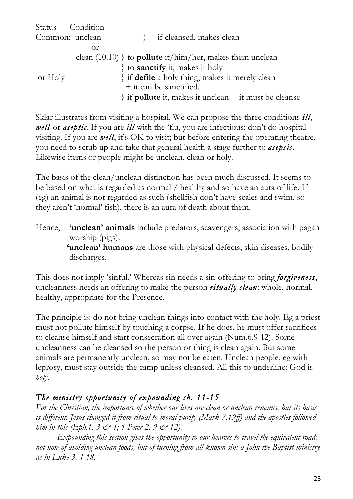| Status Condition |    |                                                                    |
|------------------|----|--------------------------------------------------------------------|
| Common: unclean  |    | if cleansed, makes clean                                           |
|                  | Οr |                                                                    |
|                  |    | clean $(10.10)$ } to <b>pollute</b> it/him/her, makes them unclean |
|                  |    | { to <b>sanctify</b> it, makes it holy                             |
| or Holy          |    | } if <b>defile</b> a holy thing, makes it merely clean             |
|                  |    | + it can be sanctified.                                            |
|                  |    | $\}$ if <b>pollute</b> it, makes it unclean $+$ it must be cleanse |
|                  |    |                                                                    |

Sklar illustrates from visiting a hospital. We can propose the three conditions *ill*, *well* or *aseptic*. If you are *ill* with the 'flu, you are infectious: don't do hospital visiting. If you are *well*, it's OK to visit; but before entering the operating theatre, you need to scrub up and take that general health a stage further to *asepsis*. Likewise items or people might be unclean, clean or holy.

The basis of the clean/unclean distinction has been much discussed. It seems to be based on what is regarded as normal / healthy and so have an aura of life. If (eg) an animal is not regarded as such (shellfish don't have scales and swim, so they aren't 'normal' fish), there is an aura of death about them.

Hence, **'unclean' animals** include predators, scavengers, association with pagan worship (pigs). **'unclean' humans** are those with physical defects, skin diseases, bodily discharges.

This does not imply 'sinful.' Whereas sin needs a sin-offering to bring *forgiveness*, uncleanness needs an offering to make the person *ritually clean*: whole, normal, healthy, appropriate for the Presence.

The principle is: do not bring unclean things into contact with the holy. Eg a priest must not pollute himself by touching a corpse. If he does, he must offer sacrifices to cleanse himself and start consecration all over again (Num.6.9-12). Some uncleanness can be cleansed so the person or thing is clean again. But some animals are permanently unclean, so may not be eaten. Unclean people, eg with leprosy, must stay outside the camp unless cleansed. All this to underline: God is *holy.* 

#### *The ministry opportunity of expounding ch. 11-15*

*For the Christian, the importance of whether our lives are clean or unclean remains; but its basis is different. Jesus changed it from ritual to moral purity (Mark 7.19ff) and the apostles followed him in this (Eph.1. 3*  $\circ$  *4; 1 Peter 2. 9*  $\circ$  *12).* 

*Expounding this section gives the opportunity to our hearers to travel the equivalent road: not now of avoiding unclean foods, but of turning from all known sin: a John the Baptist ministry as in Luke 3. 1-18.*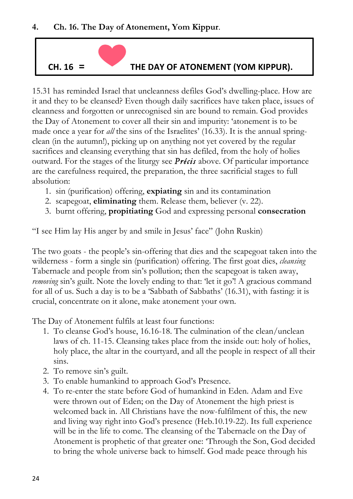

15.31 has reminded Israel that uncleanness defiles God's dwelling-place. How are it and they to be cleansed? Even though daily sacrifices have taken place, issues of cleanness and forgotten or unrecognised sin are bound to remain. God provides the Day of Atonement to cover all their sin and impurity: 'atonement is to be made once a year for *all* the sins of the Israelites' (16.33). It is the annual springclean (in the autumn!), picking up on anything not yet covered by the regular sacrifices and cleansing everything that sin has defiled, from the holy of holies outward. For the stages of the liturgy see *Précis* above. Of particular importance are the carefulness required, the preparation, the three sacrificial stages to full absolution:

- 1. sin (purification) offering, **expiating** sin and its contamination
- 2. scapegoat, **eliminating** them. Release them, believer (v. 22).
- 3. burnt offering, **propitiating** God and expressing personal **consecration**

"I see Him lay His anger by and smile in Jesus' face" (John Ruskin)

The two goats - the people's sin-offering that dies and the scapegoat taken into the wilderness - form a single sin (purification) offering. The first goat dies, *cleansing* Tabernacle and people from sin's pollution; then the scapegoat is taken away, *removing* sin's guilt. Note the lovely ending to that: 'let it go'! A gracious command for all of us. Such a day is to be a 'Sabbath of Sabbaths' (16.31), with fasting: it is crucial, concentrate on it alone, make atonement your own.

The Day of Atonement fulfils at least four functions:

- 1. To cleanse God's house, 16.16-18. The culmination of the clean/unclean laws of ch. 11-15. Cleansing takes place from the inside out: holy of holies, holy place, the altar in the courtyard, and all the people in respect of all their sins.
- 2. To remove sin's guilt.
- 3. To enable humankind to approach God's Presence.
- 4. To re-enter the state before God of humankind in Eden. Adam and Eve were thrown out of Eden; on the Day of Atonement the high priest is welcomed back in. All Christians have the now-fulfilment of this, the new and living way right into God's presence (Heb.10.19-22). Its full experience will be in the life to come. The cleansing of the Tabernacle on the Day of Atonement is prophetic of that greater one: 'Through the Son, God decided to bring the whole universe back to himself. God made peace through his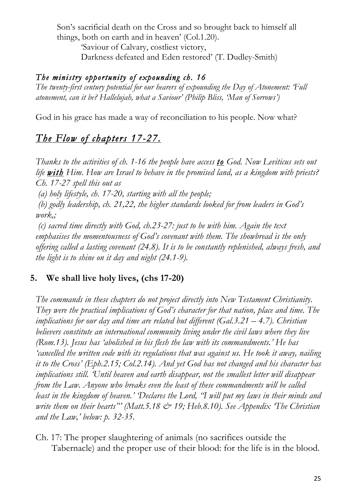Son's sacrificial death on the Cross and so brought back to himself all things, both on earth and in heaven' (Col.1.20).

'Saviour of Calvary, costliest victory, Darkness defeated and Eden restored' (T. Dudley-Smith)

#### *The ministry opportunity of expounding ch. 16*

*The twenty-first century potential for our hearers of expounding the Day of Atonement: 'Full atonement, can it be? Hallelujah, what a Saviour' (Philip Bliss, 'Man of Sorrows')*

God in his grace has made a way of reconciliation to his people. Now what?

#### *The Flow of chapters 17-27.*

*Thanks to the activities of ch. 1-16 the people have access to God. Now Leviticus sets out*  life **with** Him. How are Israel to behave in the promised land, as a kingdom with priests? *Ch. 17-27 spell this out as*

*(a) holy lifestyle, ch. 17-20, starting with all the people;*

*(b) godly leadership, ch. 21,22, the higher standards looked for from leaders in God's work,;*

*(c) sacred time directly with God, ch.23-27: just to be with him. Again the text emphasises the momentousness of God's covenant with them. The showbread is the only offering called a lasting covenant (24.8). It is to be constantly replenished, always fresh, and the light is to shine on it day and night (24.1-9).* 

#### **5. We shall live holy lives, (chs 17-20)**

*The commands in these chapters do not project directly into New Testament Christianity. They were the practical implications of God's character for that nation, place and time. The implications for our day and time are related but different (Gal.3.21 – 4.7). Christian believers constitute an international community living under the civil laws where they live (Rom.13). Jesus has 'abolished in his flesh the law with its commandments.' He has 'cancelled the written code with its regulations that was against us. He took it away, nailing it to the Cross' (Eph.2.15; Col.2.14). And yet God has not changed and his character has implications still. 'Until heaven and earth disappear, not the smallest letter will disappear from the Law. Anyone who breaks even the least of these commandments will be called least in the kingdom of heaven.' 'Declares the Lord, "I will put my laws in their minds and*  write them on their hearts"' (Matt.5.18 & 19; Heb.8.10). See Appendix The Christian *and the Law,' below: p. 32-35.*

Ch. 17: The proper slaughtering of animals (no sacrifices outside the Tabernacle) and the proper use of their blood: for the life is in the blood.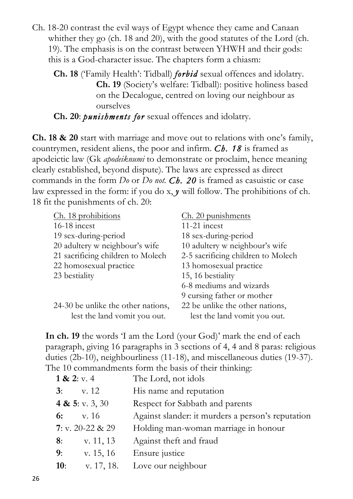- Ch. 18-20 contrast the evil ways of Egypt whence they came and Canaan whither they go (ch. 18 and 20), with the good statutes of the Lord (ch. 19). The emphasis is on the contrast between YHWH and their gods: this is a God-character issue. The chapters form a chiasm:
	- **Ch. 18** ('Family Health': Tidball) *forbid* sexual offences and idolatry. **Ch. 19** (Society's welfare: Tidball): positive holiness based on the Decalogue, centred on loving our neighbour as ourselves

**Ch. 20**: *punishments for* sexual offences and idolatry.

**Ch. 18 & 20** start with marriage and move out to relations with one's family, countrymen, resident aliens, the poor and infirm. *Ch. 18* is framed as apodeictic law (Gk *apodeiknumi* to demonstrate or proclaim, hence meaning clearly established, beyond dispute). The laws are expressed as direct commands in the form *Do* or *Do not. Ch. 20* is framed as casuistic or case law expressed in the form: if you do x, *y* will follow. The prohibitions of ch. 18 fit the punishments of ch. 20:

| Ch. 18 prohibitions                | Ch. 20 punishments                 |
|------------------------------------|------------------------------------|
| $16-18$ incest                     | $11-21$ incest                     |
| 19 sex-during-period               | 18 sex-during-period               |
| 20 adultery w neighbour's wife     | 10 adultery w neighbour's wife     |
| 21 sacrificing children to Molech  | 2-5 sacrificing children to Molech |
| 22 homosexual practice             | 13 homosexual practice             |
| 23 bestiality                      | 15, 16 bestiality                  |
|                                    | 6-8 mediums and wizards            |
|                                    | 9 cursing father or mother         |
| 24-30 be unlike the other nations, | 22 be unlike the other nations,    |
| lest the land vomit you out.       | lest the land vomit you out.       |

**In ch. 19** the words 'I am the Lord (your God)' mark the end of each paragraph, giving 16 paragraphs in 3 sections of 4, 4 and 8 paras: religious duties (2b-10), neighbourliness (11-18), and miscellaneous duties (19-37). The 10 commandments form the basis of their thinking:

|     | 1 & 2: v. 4        | The Lord, not idols                               |
|-----|--------------------|---------------------------------------------------|
|     | $3:$ v. 12         | His name and reputation                           |
|     | 4 & 5: v. 3, 30    | Respect for Sabbath and parents                   |
|     | 6: $v. 16$         | Against slander: it murders a person's reputation |
|     | 7: v. 20-22 $& 29$ | Holding man-woman marriage in honour              |
| 8:  | v. 11, 13          | Against theft and fraud                           |
| 9:  | v. 15, 16          | Ensure justice                                    |
| 10: | v. 17, 18.         | Love our neighbour                                |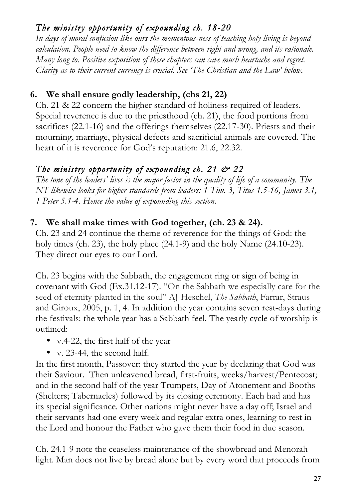#### *The ministry opportunity of expounding ch. 18-20*

*In days of moral confusion like ours the momentous-ness of teaching holy living is beyond calculation. People need to know the difference between right and wrong, and its rationale. Many long to. Positive exposition of these chapters can save much heartache and regret. Clarity as to their current currency is crucial. See 'The Christian and the Law' below.*

#### **6. We shall ensure godly leadership, (chs 21, 22)**

Ch. 21 & 22 concern the higher standard of holiness required of leaders. Special reverence is due to the priesthood (ch. 21), the food portions from sacrifices (22.1-16) and the offerings themselves (22.17-30). Priests and their mourning, marriage, physical defects and sacrificial animals are covered. The heart of it is reverence for God's reputation: 21.6, 22.32.

#### *The ministry opportunity of expounding ch. 21 & 22*

*The tone of the leaders' lives is the major factor in the quality of life of a community. The NT likewise looks for higher standards from leaders: 1 Tim. 3, Titus 1.5-16, James 3.1, 1 Peter 5.1-4. Hence the value of expounding this section.* 

#### **7. We shall make times with God together, (ch. 23 & 24).**

Ch. 23 and 24 continue the theme of reverence for the things of God: the holy times (ch. 23), the holy place (24.1-9) and the holy Name (24.10-23). They direct our eyes to our Lord.

Ch. 23 begins with the Sabbath, the engagement ring or sign of being in covenant with God (Ex.31.12-17). "On the Sabbath we especially care for the seed of eternity planted in the soul" AJ Heschel, *The Sabbath*, Farrar, Straus and Giroux, 2005, p. 1, 4. In addition the year contains seven rest-days during the festivals: the whole year has a Sabbath feel. The yearly cycle of worship is outlined:

- v.4-22, the first half of the year
- v. 23-44, the second half.

In the first month, Passover: they started the year by declaring that God was their Saviour. Then unleavened bread, first-fruits, weeks/harvest/Pentecost; and in the second half of the year Trumpets, Day of Atonement and Booths (Shelters; Tabernacles) followed by its closing ceremony. Each had and has its special significance. Other nations might never have a day off; Israel and their servants had one every week and regular extra ones, learning to rest in the Lord and honour the Father who gave them their food in due season.

Ch. 24.1-9 note the ceaseless maintenance of the showbread and Menorah light. Man does not live by bread alone but by every word that proceeds from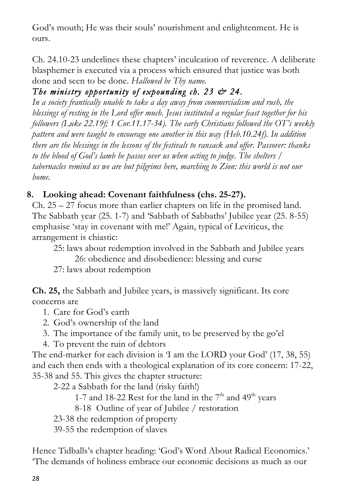God's mouth; He was their souls' nourishment and enlightenment. He is ours.

Ch. 24.10-23 underlines these chapters' inculcation of reverence. A deliberate blasphemer is executed via a process which ensured that justice was both done and seen to be done. *Hallowed be Thy name.*

#### *The ministry opportunity of expounding ch. 23 & 24.*

*In a society frantically unable to take a day away from commercialism and rush, the blessings of resting in the Lord offer much. Jesus instituted a regular feast together for his followers (Luke 22.19f; 1 Cor.11.17-34). The early Christians followed the OT's weekly pattern and were taught to encourage one another in this way (Heb.10.24f). In addition there are the blessings in the lessons of the festivals to ransack and offer. Passover: thanks to the blood of God's lamb he passes over us when acting to judge. The shelters / tabernacles remind us we are but pilgrims here, marching to Zion: this world is not our home.*

#### **8. Looking ahead: Covenant faithfulness (chs. 25-27).**

Ch.  $25 - 27$  focus more than earlier chapters on life in the promised land. The Sabbath year (25. 1-7) and 'Sabbath of Sabbaths' Jubilee year (25. 8-55) emphasise 'stay in covenant with me!' Again, typical of Leviticus, the arrangement is chiastic:

- 25: laws about redemption involved in the Sabbath and Jubilee years 26: obedience and disobedience: blessing and curse
- 27: laws about redemption

**Ch. 25,** the Sabbath and Jubilee years, is massively significant. Its core concerns are

- 1. Care for God's earth
- 2. God's ownership of the land
- 3. The importance of the family unit, to be preserved by the go'el
- 4. To prevent the ruin of debtors

The end-marker for each division is 'I am the LORD your God' (17, 38, 55) and each then ends with a theological explanation of its core concern: 17-22, 35-38 and 55. This gives the chapter structure:

2-22 a Sabbath for the land (risky faith!)

1-7 and 18-22 Rest for the land in the  $7<sup>th</sup>$  and  $49<sup>th</sup>$  years

8-18 Outline of year of Jubilee / restoration

23-38 the redemption of property

39-55 the redemption of slaves

Hence Tidballs's chapter heading: 'God's Word About Radical Economics.' 'The demands of holiness embrace our economic decisions as much as our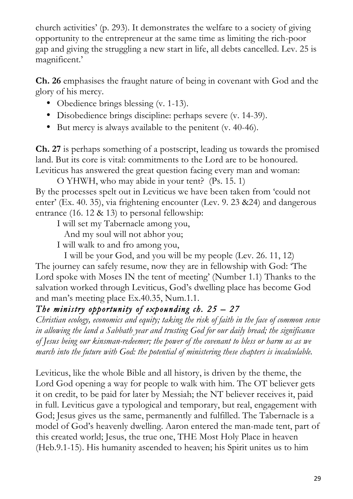church activities' (p. 293). It demonstrates the welfare to a society of giving opportunity to the entrepreneur at the same time as limiting the rich-poor gap and giving the struggling a new start in life, all debts cancelled. Lev. 25 is magnificent.'

**Ch. 26** emphasises the fraught nature of being in covenant with God and the glory of his mercy.

- Obedience brings blessing (v. 1-13).
- Disobedience brings discipline: perhaps severe (v. 14-39).
- But mercy is always available to the penitent (v. 40-46).

**Ch. 27** is perhaps something of a postscript, leading us towards the promised land. But its core is vital: commitments to the Lord are to be honoured. Leviticus has answered the great question facing every man and woman:

O YHWH, who may abide in your tent? (Ps. 15. 1) By the processes spelt out in Leviticus we have been taken from 'could not enter' (Ex. 40. 35), via frightening encounter (Lev. 9. 23 &24) and dangerous entrance (16. 12 & 13) to personal fellowship:

I will set my Tabernacle among you,

And my soul will not abhor you;

I will walk to and fro among you,

 I will be your God, and you will be my people (Lev. 26. 11, 12) The journey can safely resume, now they are in fellowship with God: 'The Lord spoke with Moses IN the tent of meeting' (Number 1.1) Thanks to the salvation worked through Leviticus, God's dwelling place has become God and man's meeting place Ex.40.35, Num.1.1.

#### *The ministry opportunity of expounding ch. 25 – 27*

*Christian ecology, economics and equity; taking the risk of faith in the face of common sense in allowing the land a Sabbath year and trusting God for our daily bread; the significance of Jesus being our kinsman-redeemer; the power of the covenant to bless or harm us as we march into the future with God: the potential of ministering these chapters is incalculable.*

Leviticus, like the whole Bible and all history, is driven by the theme, the Lord God opening a way for people to walk with him. The OT believer gets it on credit, to be paid for later by Messiah; the NT believer receives it, paid in full. Leviticus gave a typological and temporary, but real, engagement with God; Jesus gives us the same, permanently and fulfilled. The Tabernacle is a model of God's heavenly dwelling. Aaron entered the man-made tent, part of this created world; Jesus, the true one, THE Most Holy Place in heaven (Heb.9.1-15). His humanity ascended to heaven; his Spirit unites us to him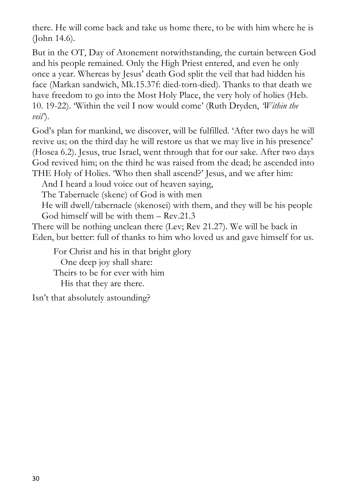there. He will come back and take us home there, to be with him where he is (John 14.6).

But in the OT, Day of Atonement notwithstanding, the curtain between God and his people remained. Only the High Priest entered, and even he only once a year. Whereas by Jesus' death God split the veil that had hidden his face (Markan sandwich, Mk.15.37f: died-torn-died). Thanks to that death we have freedom to go into the Most Holy Place, the very holy of holies (Heb. 10. 19-22). 'Within the veil I now would come' (Ruth Dryden, *'Within the veil'*).

God's plan for mankind, we discover, will be fulfilled. 'After two days he will revive us; on the third day he will restore us that we may live in his presence' (Hosea 6.2). Jesus, true Israel, went through that for our sake. After two days God revived him; on the third he was raised from the dead; he ascended into THE Holy of Holies. 'Who then shall ascend?' Jesus, and we after him:

And I heard a loud voice out of heaven saying,

The Tabernacle (skene) of God is with men

 He will dwell/tabernacle (skenosei) with them, and they will be his people God himself will be with them – Rev.21.3

There will be nothing unclean there (Lev; Rev 21.27). We will be back in Eden, but better: full of thanks to him who loved us and gave himself for us.

For Christ and his in that bright glory One deep joy shall share: Theirs to be for ever with him His that they are there.

Isn't that absolutely astounding?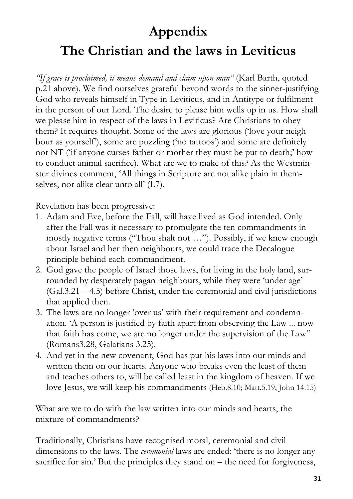# **Appendix The Christian and the laws in Leviticus**

*"If grace is proclaimed, it means demand and claim upon man"* (Karl Barth, quoted p.21 above). We find ourselves grateful beyond words to the sinner-justifying God who reveals himself in Type in Leviticus, and in Antitype or fulfilment in the person of our Lord. The desire to please him wells up in us. How shall we please him in respect of the laws in Leviticus? Are Christians to obey them? It requires thought. Some of the laws are glorious ('love your neighbour as yourself'), some are puzzling ('no tattoos') and some are definitely not NT ('if anyone curses father or mother they must be put to death;' how to conduct animal sacrifice). What are we to make of this? As the Westminster divines comment, 'All things in Scripture are not alike plain in themselves, nor alike clear unto all' (I.7).

Revelation has been progressive:

- 1. Adam and Eve, before the Fall, will have lived as God intended. Only after the Fall was it necessary to promulgate the ten commandments in mostly negative terms ("Thou shalt not …"). Possibly, if we knew enough about Israel and her then neighbours, we could trace the Decalogue principle behind each commandment.
- 2. God gave the people of Israel those laws, for living in the holy land, surrounded by desperately pagan neighbours, while they were 'under age' (Gal.3.21 – 4.5) before Christ, under the ceremonial and civil jurisdictions that applied then.
- 3. The laws are no longer 'over us' with their requirement and condemnation. 'A person is justified by faith apart from observing the Law ... now that faith has come, we are no longer under the supervision of the Law'' (Romans3.28, Galatians 3.25).
- 4. And yet in the new covenant, God has put his laws into our minds and written them on our hearts. Anyone who breaks even the least of them and teaches others to, will be called least in the kingdom of heaven. If we love Jesus, we will keep his commandments (Heb.8.10; Matt.5.19; John 14.15)

What are we to do with the law written into our minds and hearts, the mixture of commandments?

Traditionally, Christians have recognised moral, ceremonial and civil dimensions to the laws. The *ceremonial* laws are ended: 'there is no longer any sacrifice for sin.' But the principles they stand on – the need for forgiveness,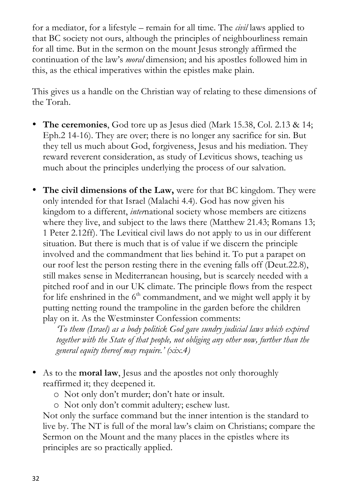for a mediator, for a lifestyle – remain for all time. The *civil* laws applied to that BC society not ours, although the principles of neighbourliness remain for all time. But in the sermon on the mount Jesus strongly affirmed the continuation of the law's *moral* dimension; and his apostles followed him in this, as the ethical imperatives within the epistles make plain.

This gives us a handle on the Christian way of relating to these dimensions of the Torah.

- **The ceremonies**, God tore up as Jesus died (Mark 15.38, Col. 2.13 & 14; Eph.2 14-16). They are over; there is no longer any sacrifice for sin. But they tell us much about God, forgiveness, Jesus and his mediation. They reward reverent consideration, as study of Leviticus shows, teaching us much about the principles underlying the process of our salvation.
- **The civil dimensions of the Law,** were for that BC kingdom. They were only intended for that Israel (Malachi 4.4). God has now given his kingdom to a different, *inter*national society whose members are citizens where they live, and subject to the laws there (Matthew 21.43; Romans 13; 1 Peter 2.12ff). The Levitical civil laws do not apply to us in our different situation. But there is much that is of value if we discern the principle involved and the commandment that lies behind it. To put a parapet on our roof lest the person resting there in the evening falls off (Deut.22.8), still makes sense in Mediterranean housing, but is scarcely needed with a pitched roof and in our UK climate. The principle flows from the respect for life enshrined in the  $6<sup>th</sup>$  commandment, and we might well apply it by putting netting round the trampoline in the garden before the children play on it. As the Westminster Confession comments:

*'To them (Israel) as a body politick God gave sundry judicial laws which expired together with the State of that people, not obliging any other now, further than the general equity thereof may require.' (xix.4)*

• As to the **moral law**, Jesus and the apostles not only thoroughly reaffirmed it; they deepened it.

o Not only don't murder; don't hate or insult.

o Not only don't commit adultery; eschew lust.

Not only the surface command but the inner intention is the standard to live by. The NT is full of the moral law's claim on Christians; compare the Sermon on the Mount and the many places in the epistles where its principles are so practically applied.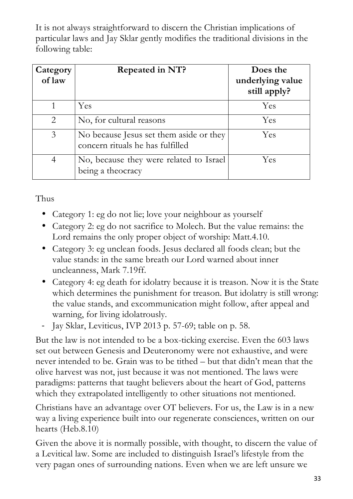It is not always straightforward to discern the Christian implications of particular laws and Jay Sklar gently modifies the traditional divisions in the following table:

| Category<br>of law | <b>Repeated in NT?</b>                                                      | Does the<br>underlying value<br>still apply? |
|--------------------|-----------------------------------------------------------------------------|----------------------------------------------|
|                    | Yes                                                                         | Yes                                          |
| 2                  | No, for cultural reasons                                                    | Yes                                          |
| 3                  | No because Jesus set them aside or they<br>concern rituals he has fulfilled | Yes                                          |
|                    | No, because they were related to Israel<br>being a theocracy                | Yes                                          |

#### Thus

- Category 1: eg do not lie; love your neighbour as yourself
- Category 2: eg do not sacrifice to Molech. But the value remains: the Lord remains the only proper object of worship: Matt.4.10.
- Category 3: eg unclean foods. Jesus declared all foods clean; but the value stands: in the same breath our Lord warned about inner uncleanness, Mark 7.19ff.
- Category 4: eg death for idolatry because it is treason. Now it is the State which determines the punishment for treason. But idolatry is still wrong: the value stands, and excommunication might follow, after appeal and warning, for living idolatrously.
- Jay Sklar, Leviticus, IVP 2013 p. 57-69; table on p. 58.

But the law is not intended to be a box-ticking exercise. Even the 603 laws set out between Genesis and Deuteronomy were not exhaustive, and were never intended to be. Grain was to be tithed – but that didn't mean that the olive harvest was not, just because it was not mentioned. The laws were paradigms: patterns that taught believers about the heart of God, patterns which they extrapolated intelligently to other situations not mentioned.

Christians have an advantage over OT believers. For us, the Law is in a new way a living experience built into our regenerate consciences, written on our hearts (Heb.8.10)

Given the above it is normally possible, with thought, to discern the value of a Levitical law. Some are included to distinguish Israel's lifestyle from the very pagan ones of surrounding nations. Even when we are left unsure we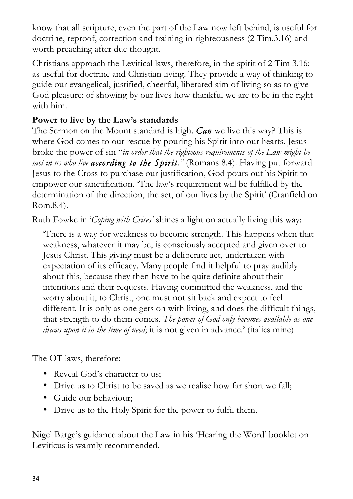know that all scripture, even the part of the Law now left behind, is useful for doctrine, reproof, correction and training in righteousness (2 Tim.3.16) and worth preaching after due thought.

Christians approach the Levitical laws, therefore, in the spirit of 2 Tim 3.16: as useful for doctrine and Christian living. They provide a way of thinking to guide our evangelical, justified, cheerful, liberated aim of living so as to give God pleasure: of showing by our lives how thankful we are to be in the right with him.

#### **Power to live by the Law's standards**

The Sermon on the Mount standard is high. *Can* we live this way? This is where God comes to our rescue by pouring his Spirit into our hearts. Jesus broke the power of sin "*in order that the righteous requirements of the Law might be met in us who live according to the Spirit."* (Romans 8.4). Having put forward Jesus to the Cross to purchase our justification, God pours out his Spirit to empower our sanctification. 'The law's requirement will be fulfilled by the determination of the direction, the set, of our lives by the Spirit' (Cranfield on Rom.8.4).

Ruth Fowke in '*Coping with Crises'* shines a light on actually living this way:

'There is a way for weakness to become strength. This happens when that weakness, whatever it may be, is consciously accepted and given over to Jesus Christ. This giving must be a deliberate act, undertaken with expectation of its efficacy. Many people find it helpful to pray audibly about this, because they then have to be quite definite about their intentions and their requests. Having committed the weakness, and the worry about it, to Christ, one must not sit back and expect to feel different. It is only as one gets on with living, and does the difficult things, that strength to do them comes. *The power of God only becomes available as one draws upon it in the time of need*; it is not given in advance.' (italics mine)

The OT laws, therefore:

- Reveal God's character to us;
- Drive us to Christ to be saved as we realise how far short we fall:
- Guide our behaviour;
- Drive us to the Holy Spirit for the power to fulfil them.

Nigel Barge's guidance about the Law in his 'Hearing the Word' booklet on Leviticus is warmly recommended.